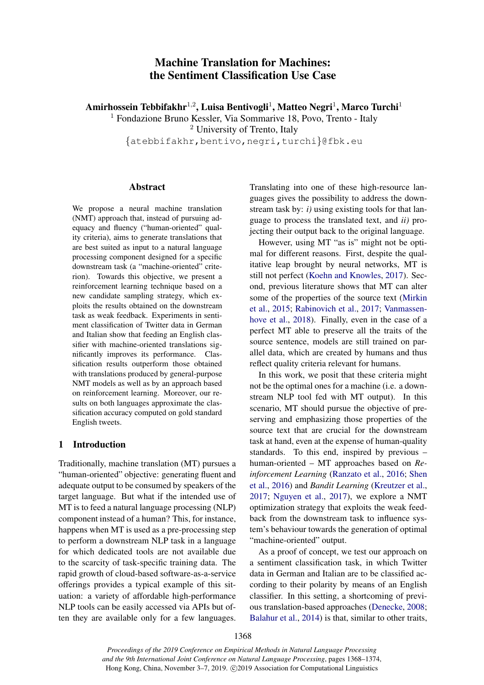# Machine Translation for Machines: the Sentiment Classification Use Case

Amirhossein Tebbifakhr $^{1,2}$ , Luisa Bentivogli $^{1}$ , Matteo Negri $^{1}$ , Marco Turchi $^{1}$ 

<sup>1</sup> Fondazione Bruno Kessler, Via Sommarive 18, Povo, Trento - Italy

<sup>2</sup> University of Trento, Italy

{atebbifakhr,bentivo,negri,turchi}@fbk.eu

## Abstract

We propose a neural machine translation (NMT) approach that, instead of pursuing adequacy and fluency ("human-oriented" quality criteria), aims to generate translations that are best suited as input to a natural language processing component designed for a specific downstream task (a "machine-oriented" criterion). Towards this objective, we present a reinforcement learning technique based on a new candidate sampling strategy, which exploits the results obtained on the downstream task as weak feedback. Experiments in sentiment classification of Twitter data in German and Italian show that feeding an English classifier with machine-oriented translations significantly improves its performance. Classification results outperform those obtained with translations produced by general-purpose NMT models as well as by an approach based on reinforcement learning. Moreover, our results on both languages approximate the classification accuracy computed on gold standard English tweets.

# <span id="page-0-0"></span>1 Introduction

Traditionally, machine translation (MT) pursues a "human-oriented" objective: generating fluent and adequate output to be consumed by speakers of the target language. But what if the intended use of MT is to feed a natural language processing (NLP) component instead of a human? This, for instance, happens when MT is used as a pre-processing step to perform a downstream NLP task in a language for which dedicated tools are not available due to the scarcity of task-specific training data. The rapid growth of cloud-based software-as-a-service offerings provides a typical example of this situation: a variety of affordable high-performance NLP tools can be easily accessed via APIs but often they are available only for a few languages.

Translating into one of these high-resource languages gives the possibility to address the downstream task by: *i)* using existing tools for that language to process the translated text, and *ii)* projecting their output back to the original language.

However, using MT "as is" might not be optimal for different reasons. First, despite the qualitative leap brought by neural networks, MT is still not perfect [\(Koehn and Knowles,](#page-5-0) [2017\)](#page-5-0). Second, previous literature shows that MT can alter some of the properties of the source text [\(Mirkin](#page-5-1) [et al.,](#page-5-1) [2015;](#page-5-1) [Rabinovich et al.,](#page-5-2) [2017;](#page-5-2) [Vanmassen](#page-6-0)[hove et al.,](#page-6-0) [2018\)](#page-6-0). Finally, even in the case of a perfect MT able to preserve all the traits of the source sentence, models are still trained on parallel data, which are created by humans and thus reflect quality criteria relevant for humans.

In this work, we posit that these criteria might not be the optimal ones for a machine (i.e. a downstream NLP tool fed with MT output). In this scenario, MT should pursue the objective of preserving and emphasizing those properties of the source text that are crucial for the downstream task at hand, even at the expense of human-quality standards. To this end, inspired by previous – human-oriented – MT approaches based on *Reinforcement Learning* [\(Ranzato et al.,](#page-6-1) [2016;](#page-6-1) [Shen](#page-6-2) [et al.,](#page-6-2) [2016\)](#page-6-2) and *Bandit Learning* [\(Kreutzer et al.,](#page-5-3) [2017;](#page-5-3) [Nguyen et al.,](#page-5-4) [2017\)](#page-5-4), we explore a NMT optimization strategy that exploits the weak feedback from the downstream task to influence system's behaviour towards the generation of optimal "machine-oriented" output.

As a proof of concept, we test our approach on a sentiment classification task, in which Twitter data in German and Italian are to be classified according to their polarity by means of an English classifier. In this setting, a shortcoming of previous translation-based approaches [\(Denecke,](#page-5-5) [2008;](#page-5-5) [Balahur et al.,](#page-5-6) [2014\)](#page-5-6) is that, similar to other traits,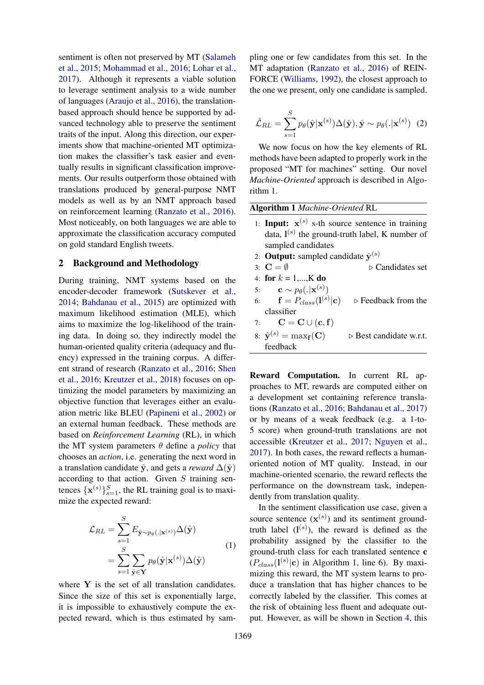sentiment is often not preserved by MT [\(Salameh](#page-6-3) [et al.,](#page-6-3) [2015;](#page-6-3) [Mohammad et al.,](#page-5-7) [2016;](#page-5-7) [Lohar et al.,](#page-5-8) [2017\)](#page-5-8). Although it represents a viable solution to leverage sentiment analysis to a wide number of languages [\(Araujo et al.,](#page-5-9) [2016\)](#page-5-9), the translationbased approach should hence be supported by advanced technology able to preserve the sentiment traits of the input. Along this direction, our experiments show that machine-oriented MT optimization makes the classifier's task easier and eventually results in significant classification improvements. Our results outperform those obtained with translations produced by general-purpose NMT models as well as by an NMT approach based on reinforcement learning [\(Ranzato et al.,](#page-6-1) [2016\)](#page-6-1). Most noticeably, on both languages we are able to approximate the classification accuracy computed on gold standard English tweets.

# <span id="page-1-1"></span>2 Background and Methodology

During training, NMT systems based on the encoder-decoder framework [\(Sutskever et al.,](#page-6-4) [2014;](#page-6-4) [Bahdanau et al.,](#page-5-10) [2015\)](#page-5-10) are optimized with maximum likelihood estimation (MLE), which aims to maximize the log-likelihood of the training data. In doing so, they indirectly model the human-oriented quality criteria (adequacy and fluency) expressed in the training corpus. A different strand of research [\(Ranzato et al.,](#page-6-1) [2016;](#page-6-1) [Shen](#page-6-2) [et al.,](#page-6-2) [2016;](#page-6-2) [Kreutzer et al.,](#page-5-11) [2018\)](#page-5-11) focuses on optimizing the model parameters by maximizing an objective function that leverages either an evaluation metric like BLEU [\(Papineni et al.,](#page-5-12) [2002\)](#page-5-12) or an external human feedback. These methods are based on *Reinforcement Learning* (RL), in which the MT system parameters  $\theta$  define a *policy* that chooses an *action*, i.e. generating the next word in a translation candidate  $\hat{y}$ , and gets a *reward*  $\Delta(\hat{y})$ according to that action. Given  $S$  training sentences  $\{x^{(s)}\}_{s=1}^S$ , the RL training goal is to maximize the expected reward:

$$
\mathcal{L}_{RL} = \sum_{s=1}^{S} E_{\hat{\mathbf{y}} \sim p_{\theta}(.|\mathbf{x}^{(s)})} \Delta(\hat{\mathbf{y}})
$$

$$
= \sum_{s=1}^{S} \sum_{\hat{\mathbf{y}} \in \mathbf{Y}} p_{\theta}(\hat{\mathbf{y}}|\mathbf{x}^{(s)}) \Delta(\hat{\mathbf{y}})
$$
(1)

where  $Y$  is the set of all translation candidates. Since the size of this set is exponentially large, it is impossible to exhaustively compute the expected reward, which is thus estimated by sampling one or few candidates from this set. In the MT adaptation [\(Ranzato et al.,](#page-6-1) [2016\)](#page-6-1) of REIN-FORCE [\(Williams,](#page-6-5) [1992\)](#page-6-5), the closest approach to the one we present, only one candidate is sampled.

$$
\hat{\mathcal{L}}_{RL} = \sum_{s=1}^{S} p_{\theta}(\hat{\mathbf{y}}|\mathbf{x}^{(s)})\Delta(\hat{\mathbf{y}}), \hat{\mathbf{y}} \sim p_{\theta}(.|\mathbf{x}^{(s)})
$$
 (2)

We now focus on how the key elements of RL methods have been adapted to properly work in the proposed "MT for machines" setting. Our novel *Machine-Oriented* approach is described in Algorithm [1.](#page-1-0)

<span id="page-1-0"></span>Algorithm 1 *Machine-Oriented* RL

- 1: **Input:**  $x^{(s)}$  s-th source sentence in training data,  $I^{(s)}$  the ground-truth label, K number of sampled candidates
- 2: **Output:** sampled candidate  $\hat{\mathbf{y}}^{(s)}$
- 3:  $C = \emptyset$   $\triangleright$  Candidates set
- 4: for  $k = 1,...,K$  do

5: 
$$
\mathbf{c} \sim p_{\theta}(.|\mathbf{x}^{(s)})
$$

- 6:  $\mathbf{f} = P_{class}(\mathbf{l}^{(s)})$  $\triangleright$  Feedback from the classifier
- 7:  $\mathbf{C} = \mathbf{C} \cup (\mathbf{c}, \mathbf{f})$
- 8:  $\hat{\mathbf{v}}^{(s)} = \max_{\mathbf{f}}(\mathbf{C})$  $\triangleright$  Best candidate w.r.t. feedback

Reward Computation. In current RL approaches to MT, rewards are computed either on a development set containing reference translations [\(Ranzato et al.,](#page-6-1) [2016;](#page-6-1) [Bahdanau et al.,](#page-5-13) [2017\)](#page-5-13) or by means of a weak feedback (e.g. a 1-to-5 score) when ground-truth translations are not accessible [\(Kreutzer et al.,](#page-5-3) [2017;](#page-5-3) [Nguyen et al.,](#page-5-4) [2017\)](#page-5-4). In both cases, the reward reflects a humanoriented notion of MT quality. Instead, in our machine-oriented scenario, the reward reflects the performance on the downstream task, independently from translation quality.

In the sentiment classification use case, given a source sentence  $(\mathbf{x}^{(s)})$  and its sentiment groundtruth label  $(l<sup>(s)</sup>)$ , the reward is defined as the probability assigned by the classifier to the ground-truth class for each translated sentence c  $(P_{class}(\mathbf{l}^{(s)}|\mathbf{c})$  in Algorithm [1,](#page-1-0) line 6). By maximizing this reward, the MT system learns to produce a translation that has higher chances to be correctly labeled by the classifier. This comes at the risk of obtaining less fluent and adequate output. However, as will be shown in Section [4,](#page-3-0) this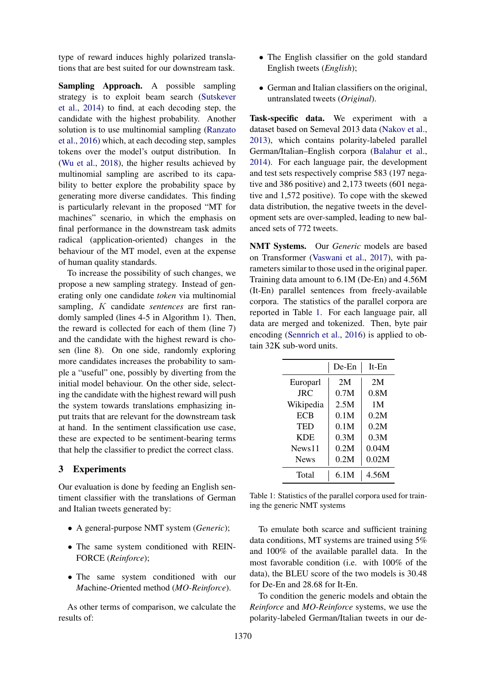type of reward induces highly polarized translations that are best suited for our downstream task.

Sampling Approach. A possible sampling strategy is to exploit beam search [\(Sutskever](#page-6-4) [et al.,](#page-6-4) [2014\)](#page-6-4) to find, at each decoding step, the candidate with the highest probability. Another solution is to use multinomial sampling [\(Ranzato](#page-6-1) [et al.,](#page-6-1) [2016\)](#page-6-1) which, at each decoding step, samples tokens over the model's output distribution. In [\(Wu et al.,](#page-6-6) [2018\)](#page-6-6), the higher results achieved by multinomial sampling are ascribed to its capability to better explore the probability space by generating more diverse candidates. This finding is particularly relevant in the proposed "MT for machines" scenario, in which the emphasis on final performance in the downstream task admits radical (application-oriented) changes in the behaviour of the MT model, even at the expense of human quality standards.

To increase the possibility of such changes, we propose a new sampling strategy. Instead of generating only one candidate *token* via multinomial sampling, K candidate *sentences* are first randomly sampled (lines 4-5 in Algorithm 1). Then, the reward is collected for each of them (line 7) and the candidate with the highest reward is chosen (line 8). On one side, randomly exploring more candidates increases the probability to sample a "useful" one, possibly by diverting from the initial model behaviour. On the other side, selecting the candidate with the highest reward will push the system towards translations emphasizing input traits that are relevant for the downstream task at hand. In the sentiment classification use case, these are expected to be sentiment-bearing terms that help the classifier to predict the correct class.

## 3 Experiments

Our evaluation is done by feeding an English sentiment classifier with the translations of German and Italian tweets generated by:

- A general-purpose NMT system (*Generic*);
- The same system conditioned with REIN-FORCE (*Reinforce*);
- The same system conditioned with our *M*achine-*O*riented method (*MO-Reinforce*).

As other terms of comparison, we calculate the results of:

- The English classifier on the gold standard English tweets (*English*);
- German and Italian classifiers on the original, untranslated tweets (*Original*).

Task-specific data. We experiment with a dataset based on Semeval 2013 data [\(Nakov et al.,](#page-5-14) [2013\)](#page-5-14), which contains polarity-labeled parallel German/Italian–English corpora [\(Balahur et al.,](#page-5-6) [2014\)](#page-5-6). For each language pair, the development and test sets respectively comprise 583 (197 negative and 386 positive) and 2,173 tweets (601 negative and 1,572 positive). To cope with the skewed data distribution, the negative tweets in the development sets are over-sampled, leading to new balanced sets of 772 tweets.

NMT Systems. Our *Generic* models are based on Transformer [\(Vaswani et al.,](#page-6-7) [2017\)](#page-6-7), with parameters similar to those used in the original paper. Training data amount to 6.1M (De-En) and 4.56M (It-En) parallel sentences from freely-available corpora. The statistics of the parallel corpora are reported in Table [1.](#page-2-0) For each language pair, all data are merged and tokenized. Then, byte pair encoding [\(Sennrich et al.,](#page-6-8) [2016\)](#page-6-8) is applied to obtain 32K sub-word units.

<span id="page-2-0"></span>

|             | De-En | $It$ -En |  |
|-------------|-------|----------|--|
| Europarl    | 2M    | 2M       |  |
| <b>JRC</b>  | 0.7M  | 0.8M     |  |
| Wikipedia   | 2.5M  | 1M       |  |
| <b>ECB</b>  | 0.1M  | 0.2M     |  |
| TED         | 0.1M  | 0.2M     |  |
| <b>KDE</b>  | 0.3M  | 0.3M     |  |
| News11      | 0.2M  | 0.04M    |  |
| <b>News</b> | 0.2M  | 0.02M    |  |
| Total       | 6.1M  | 4.56M    |  |

Table 1: Statistics of the parallel corpora used for training the generic NMT systems

To emulate both scarce and sufficient training data conditions, MT systems are trained using 5% and 100% of the available parallel data. In the most favorable condition (i.e. with 100% of the data), the BLEU score of the two models is 30.48 for De-En and 28.68 for It-En.

To condition the generic models and obtain the *Reinforce* and *MO-Reinforce* systems, we use the polarity-labeled German/Italian tweets in our de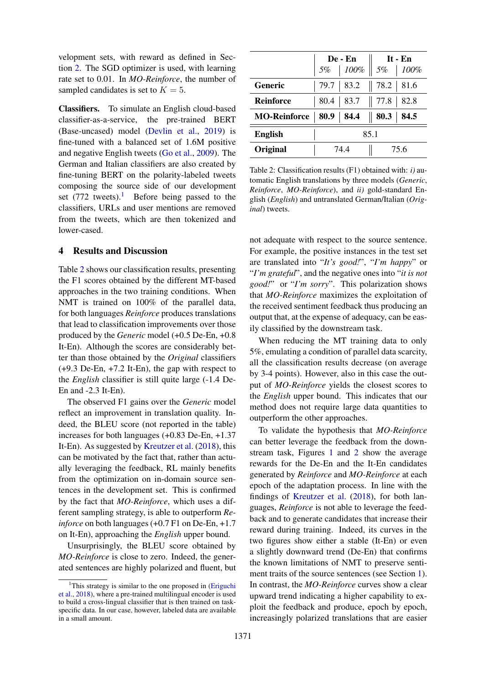velopment sets, with reward as defined in Section [2.](#page-1-1) The SGD optimizer is used, with learning rate set to 0.01. In *MO-Reinforce*, the number of sampled candidates is set to  $K = 5$ .

Classifiers. To simulate an English cloud-based classifier-as-a-service, the pre-trained BERT (Base-uncased) model [\(Devlin et al.,](#page-5-15) [2019\)](#page-5-15) is fine-tuned with a balanced set of 1.6M positive and negative English tweets [\(Go et al.,](#page-5-16) [2009\)](#page-5-16). The German and Italian classifiers are also created by fine-tuning BERT on the polarity-labeled tweets composing the source side of our development set  $(772$  tweets).<sup>[1](#page-3-1)</sup> Before being passed to the classifiers, URLs and user mentions are removed from the tweets, which are then tokenized and lower-cased.

### <span id="page-3-0"></span>4 Results and Discussion

Table [2](#page-3-2) shows our classification results, presenting the F1 scores obtained by the different MT-based approaches in the two training conditions. When NMT is trained on 100% of the parallel data, for both languages *Reinforce* produces translations that lead to classification improvements over those produced by the *Generic* model (+0.5 De-En, +0.8 It-En). Although the scores are considerably better than those obtained by the *Original* classifiers (+9.3 De-En, +7.2 It-En), the gap with respect to the *English* classifier is still quite large (-1.4 De-En and -2.3 It-En).

The observed F1 gains over the *Generic* model reflect an improvement in translation quality. Indeed, the BLEU score (not reported in the table) increases for both languages (+0.83 De-En, +1.37 It-En). As suggested by [Kreutzer et al.](#page-5-11) [\(2018\)](#page-5-11), this can be motivated by the fact that, rather than actually leveraging the feedback, RL mainly benefits from the optimization on in-domain source sentences in the development set. This is confirmed by the fact that *MO-Reinforce*, which uses a different sampling strategy, is able to outperform *Reinforce* on both languages (+0.7 F1 on De-En, +1.7) on It-En), approaching the *English* upper bound.

Unsurprisingly, the BLEU score obtained by *MO-Reinforce* is close to zero. Indeed, the generated sentences are highly polarized and fluent, but

<span id="page-3-2"></span>

|                     | De - En      |                             | It - $En$   |  |
|---------------------|--------------|-----------------------------|-------------|--|
|                     |              | 5%   100%   5%   100%       |             |  |
| Generic             |              | 79.7   83.2                 | 78.2   81.6 |  |
| <b>Reinforce</b>    |              | $80.4$   83.7   77.8   82.8 |             |  |
| <b>MO-Reinforce</b> |              | $80.9$   84.4               | 80.3   84.5 |  |
| <b>English</b>      | 85.1         |                             |             |  |
| Original            | 74 4<br>75.6 |                             |             |  |

Table 2: Classification results (F1) obtained with: *i)* automatic English translations by three models (*Generic*, *Reinforce*, *MO-Reinforce*), and *ii)* gold-standard English (*English*) and untranslated German/Italian (*Original*) tweets.

not adequate with respect to the source sentence. For example, the positive instances in the test set are translated into "*It's good!*", "*I'm happy*" or "*I'm grateful*", and the negative ones into "*it is not good!*" or "*I'm sorry*". This polarization shows that *MO-Reinforce* maximizes the exploitation of the received sentiment feedback thus producing an output that, at the expense of adequacy, can be easily classified by the downstream task.

When reducing the MT training data to only 5%, emulating a condition of parallel data scarcity, all the classification results decrease (on average by 3-4 points). However, also in this case the output of *MO-Reinforce* yields the closest scores to the *English* upper bound. This indicates that our method does not require large data quantities to outperform the other approaches.

To validate the hypothesis that *MO-Reinforce* can better leverage the feedback from the downstream task, Figures [1](#page-4-0) and [2](#page-4-0) show the average rewards for the De-En and the It-En candidates generated by *Reinforce* and *MO-Reinforce* at each epoch of the adaptation process. In line with the findings of [Kreutzer et al.](#page-5-11) [\(2018\)](#page-5-11), for both languages, *Reinforce* is not able to leverage the feedback and to generate candidates that increase their reward during training. Indeed, its curves in the two figures show either a stable (It-En) or even a slightly downward trend (De-En) that confirms the known limitations of NMT to preserve sentiment traits of the source sentences (see Section [1\)](#page-0-0). In contrast, the *MO-Reinforce* curves show a clear upward trend indicating a higher capability to exploit the feedback and produce, epoch by epoch, increasingly polarized translations that are easier

<span id="page-3-1"></span><sup>&</sup>lt;sup>1</sup>This strategy is similar to the one proposed in [\(Eriguchi](#page-5-17) [et al.,](#page-5-17) [2018\)](#page-5-17), where a pre-trained multilingual encoder is used to build a cross-lingual classifier that is then trained on taskspecific data. In our case, however, labeled data are available in a small amount.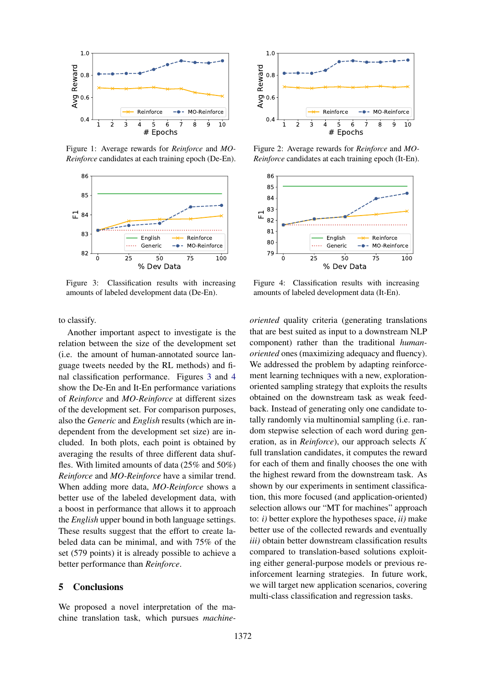<span id="page-4-0"></span>

Figure 1: Average rewards for *Reinforce* and *MO-Reinforce* candidates at each training epoch (De-En).

<span id="page-4-1"></span>

Figure 3: Classification results with increasing amounts of labeled development data (De-En).

to classify.

Another important aspect to investigate is the relation between the size of the development set (i.e. the amount of human-annotated source language tweets needed by the RL methods) and final classification performance. Figures [3](#page-4-1) and [4](#page-4-1) show the De-En and It-En performance variations of *Reinforce* and *MO-Reinforce* at different sizes of the development set. For comparison purposes, also the *Generic* and *English* results (which are independent from the development set size) are included. In both plots, each point is obtained by averaging the results of three different data shuffles. With limited amounts of data (25% and 50%) *Reinforce* and *MO-Reinforce* have a similar trend. When adding more data, *MO-Reinforce* shows a better use of the labeled development data, with a boost in performance that allows it to approach the *English* upper bound in both language settings. These results suggest that the effort to create labeled data can be minimal, and with 75% of the set (579 points) it is already possible to achieve a better performance than *Reinforce*.

## 5 Conclusions

We proposed a novel interpretation of the machine translation task, which pursues *machine-*



Figure 2: Average rewards for *Reinforce* and *MO-Reinforce* candidates at each training epoch (It-En).



Figure 4: Classification results with increasing amounts of labeled development data (It-En).

*oriented* quality criteria (generating translations that are best suited as input to a downstream NLP component) rather than the traditional *humanoriented* ones (maximizing adequacy and fluency). We addressed the problem by adapting reinforcement learning techniques with a new, explorationoriented sampling strategy that exploits the results obtained on the downstream task as weak feedback. Instead of generating only one candidate totally randomly via multinomial sampling (i.e. random stepwise selection of each word during generation, as in *Reinforce*), our approach selects K full translation candidates, it computes the reward for each of them and finally chooses the one with the highest reward from the downstream task. As shown by our experiments in sentiment classification, this more focused (and application-oriented) selection allows our "MT for machines" approach to: *i)* better explore the hypotheses space, *ii)* make better use of the collected rewards and eventually *iii)* obtain better downstream classification results compared to translation-based solutions exploiting either general-purpose models or previous reinforcement learning strategies. In future work, we will target new application scenarios, covering multi-class classification and regression tasks.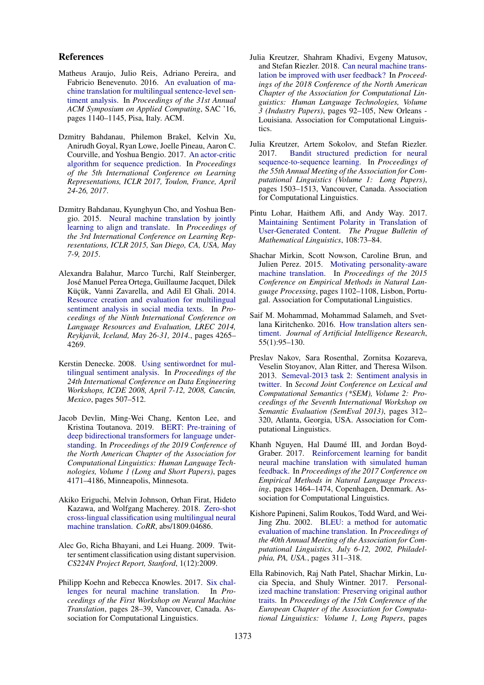### References

- <span id="page-5-9"></span>Matheus Araujo, Julio Reis, Adriano Pereira, and Fabricio Benevenuto. 2016. [An evaluation of ma](https://doi.org/10.1145/2851613.2851817)[chine translation for multilingual sentence-level sen](https://doi.org/10.1145/2851613.2851817)[timent analysis.](https://doi.org/10.1145/2851613.2851817) In *Proceedings of the 31st Annual ACM Symposium on Applied Computing*, SAC '16, pages 1140–1145, Pisa, Italy. ACM.
- <span id="page-5-13"></span>Dzmitry Bahdanau, Philemon Brakel, Kelvin Xu, Anirudh Goyal, Ryan Lowe, Joelle Pineau, Aaron C. Courville, and Yoshua Bengio. 2017. [An actor-critic](https://openreview.net/forum?id=SJDaqqveg) [algorithm for sequence prediction.](https://openreview.net/forum?id=SJDaqqveg) In *Proceedings of the 5th International Conference on Learning Representations, ICLR 2017, Toulon, France, April 24-26, 2017*.
- <span id="page-5-10"></span>Dzmitry Bahdanau, Kyunghyun Cho, and Yoshua Bengio. 2015. [Neural machine translation by jointly](http://arxiv.org/abs/1409.0473) [learning to align and translate.](http://arxiv.org/abs/1409.0473) In *Proceedings of the 3rd International Conference on Learning Representations, ICLR 2015, San Diego, CA, USA, May 7-9, 2015*.
- <span id="page-5-6"></span>Alexandra Balahur, Marco Turchi, Ralf Steinberger, Jose Manuel Perea Ortega, Guillaume Jacquet, Dilek ´ Küçük, Vanni Zavarella, and Adil El Ghali. 2014. [Resource creation and evaluation for multilingual](http://www.lrec-conf.org/proceedings/lrec2014/summaries/965.html) [sentiment analysis in social media texts.](http://www.lrec-conf.org/proceedings/lrec2014/summaries/965.html) In *Proceedings of the Ninth International Conference on Language Resources and Evaluation, LREC 2014, Reykjavik, Iceland, May 26-31, 2014.*, pages 4265– 4269.
- <span id="page-5-5"></span>Kerstin Denecke. 2008. [Using sentiwordnet for mul](https://doi.org/10.1109/ICDEW.2008.4498370)[tilingual sentiment analysis.](https://doi.org/10.1109/ICDEW.2008.4498370) In *Proceedings of the 24th International Conference on Data Engineering Workshops, ICDE 2008, April 7-12, 2008, Cancun, ´ Mexico*, pages 507–512.
- <span id="page-5-15"></span>Jacob Devlin, Ming-Wei Chang, Kenton Lee, and Kristina Toutanova. 2019. [BERT: Pre-training of](https://doi.org/10.18653/v1/N19-1423) [deep bidirectional transformers for language under](https://doi.org/10.18653/v1/N19-1423)[standing.](https://doi.org/10.18653/v1/N19-1423) In *Proceedings of the 2019 Conference of the North American Chapter of the Association for Computational Linguistics: Human Language Technologies, Volume 1 (Long and Short Papers)*, pages 4171–4186, Minneapolis, Minnesota.
- <span id="page-5-17"></span>Akiko Eriguchi, Melvin Johnson, Orhan Firat, Hideto Kazawa, and Wolfgang Macherey. 2018. [Zero-shot](http://arxiv.org/abs/1809.04686) [cross-lingual classification using multilingual neural](http://arxiv.org/abs/1809.04686) [machine translation.](http://arxiv.org/abs/1809.04686) *CoRR*, abs/1809.04686.
- <span id="page-5-16"></span>Alec Go, Richa Bhayani, and Lei Huang. 2009. Twitter sentiment classification using distant supervision. *CS224N Project Report, Stanford*, 1(12):2009.
- <span id="page-5-0"></span>Philipp Koehn and Rebecca Knowles. 2017. [Six chal](https://doi.org/10.18653/v1/W17-3204)[lenges for neural machine translation.](https://doi.org/10.18653/v1/W17-3204) In *Proceedings of the First Workshop on Neural Machine Translation*, pages 28–39, Vancouver, Canada. Association for Computational Linguistics.
- <span id="page-5-11"></span>Julia Kreutzer, Shahram Khadivi, Evgeny Matusov, and Stefan Riezler. 2018. [Can neural machine trans](https://doi.org/10.18653/v1/N18-3012)[lation be improved with user feedback?](https://doi.org/10.18653/v1/N18-3012) In *Proceedings of the 2018 Conference of the North American Chapter of the Association for Computational Linguistics: Human Language Technologies, Volume 3 (Industry Papers)*, pages 92–105, New Orleans - Louisiana. Association for Computational Linguistics.
- <span id="page-5-3"></span>Julia Kreutzer, Artem Sokolov, and Stefan Riezler. 2017. [Bandit structured prediction for neural](https://doi.org/10.18653/v1/P17-1138) [sequence-to-sequence learning.](https://doi.org/10.18653/v1/P17-1138) In *Proceedings of the 55th Annual Meeting of the Association for Computational Linguistics (Volume 1: Long Papers)*, pages 1503–1513, Vancouver, Canada. Association for Computational Linguistics.
- <span id="page-5-8"></span>Pintu Lohar, Haithem Afli, and Andy Way. 2017. [Maintaining Sentiment Polarity in Translation of](https://doi.org/10.1515/pralin-2017-0010) [User-Generated Content.](https://doi.org/10.1515/pralin-2017-0010) *The Prague Bulletin of Mathematical Linguistics*, 108:73–84.
- <span id="page-5-1"></span>Shachar Mirkin, Scott Nowson, Caroline Brun, and Julien Perez. 2015. [Motivating personality-aware](https://www.aclweb.org/anthology/D15-1130) [machine translation.](https://www.aclweb.org/anthology/D15-1130) In *Proceedings of the 2015 Conference on Empirical Methods in Natural Language Processing*, pages 1102–1108, Lisbon, Portugal. Association for Computational Linguistics.
- <span id="page-5-7"></span>Saif M. Mohammad, Mohammad Salameh, and Svetlana Kiritchenko. 2016. [How translation alters sen](http://dl.acm.org/citation.cfm?id=3013558.3013562)[timent.](http://dl.acm.org/citation.cfm?id=3013558.3013562) *Journal of Artificial Intelligence Research*, 55(1):95–130.
- <span id="page-5-14"></span>Preslav Nakov, Sara Rosenthal, Zornitsa Kozareva, Veselin Stoyanov, Alan Ritter, and Theresa Wilson. 2013. [Semeval-2013 task 2: Sentiment analysis in](http://www.aclweb.org/anthology/S13-2052) [twitter.](http://www.aclweb.org/anthology/S13-2052) In *Second Joint Conference on Lexical and Computational Semantics (\*SEM), Volume 2: Proceedings of the Seventh International Workshop on Semantic Evaluation (SemEval 2013)*, pages 312– 320, Atlanta, Georgia, USA. Association for Computational Linguistics.
- <span id="page-5-4"></span>Khanh Nguyen, Hal Daumé III, and Jordan Boyd-Graber. 2017. [Reinforcement learning for bandit](https://doi.org/10.18653/v1/D17-1153) [neural machine translation with simulated human](https://doi.org/10.18653/v1/D17-1153) [feedback.](https://doi.org/10.18653/v1/D17-1153) In *Proceedings of the 2017 Conference on Empirical Methods in Natural Language Processing*, pages 1464–1474, Copenhagen, Denmark. Association for Computational Linguistics.
- <span id="page-5-12"></span>Kishore Papineni, Salim Roukos, Todd Ward, and Wei-Jing Zhu. 2002. [BLEU: a method for automatic](http://www.aclweb.org/anthology/P02-1040.pdf) [evaluation of machine translation.](http://www.aclweb.org/anthology/P02-1040.pdf) In *Proceedings of the 40th Annual Meeting of the Association for Computational Linguistics, July 6-12, 2002, Philadelphia, PA, USA.*, pages 311–318.
- <span id="page-5-2"></span>Ella Rabinovich, Raj Nath Patel, Shachar Mirkin, Lucia Specia, and Shuly Wintner. 2017. [Personal](https://www.aclweb.org/anthology/E17-1101)[ized machine translation: Preserving original author](https://www.aclweb.org/anthology/E17-1101) [traits.](https://www.aclweb.org/anthology/E17-1101) In *Proceedings of the 15th Conference of the European Chapter of the Association for Computational Linguistics: Volume 1, Long Papers*, pages